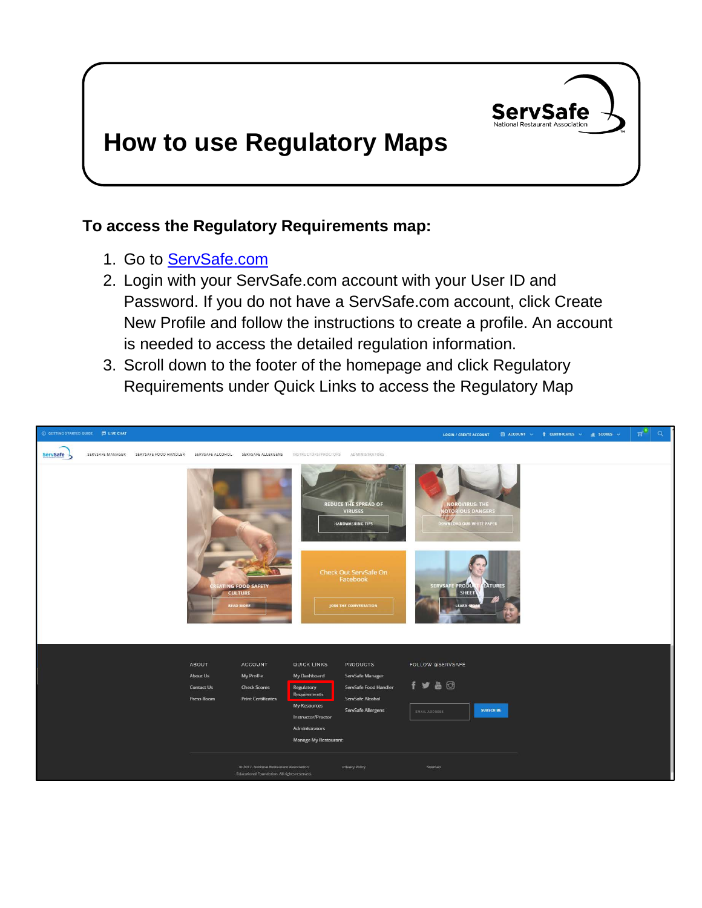

## **How to use Regulatory Maps**

## **To access the Regulatory Requirements map:**

- 1. Go to [ServSafe.com](http://www.servsafe.com/)
- 2. Login with your ServSafe.com account with your User ID and Password. If you do not have a ServSafe.com account, click Create New Profile and follow the instructions to create a profile. An account is needed to access the detailed regulation information.
- 3. Scroll down to the footer of the homepage and click Regulatory Requirements under Quick Links to access the Regulatory Map

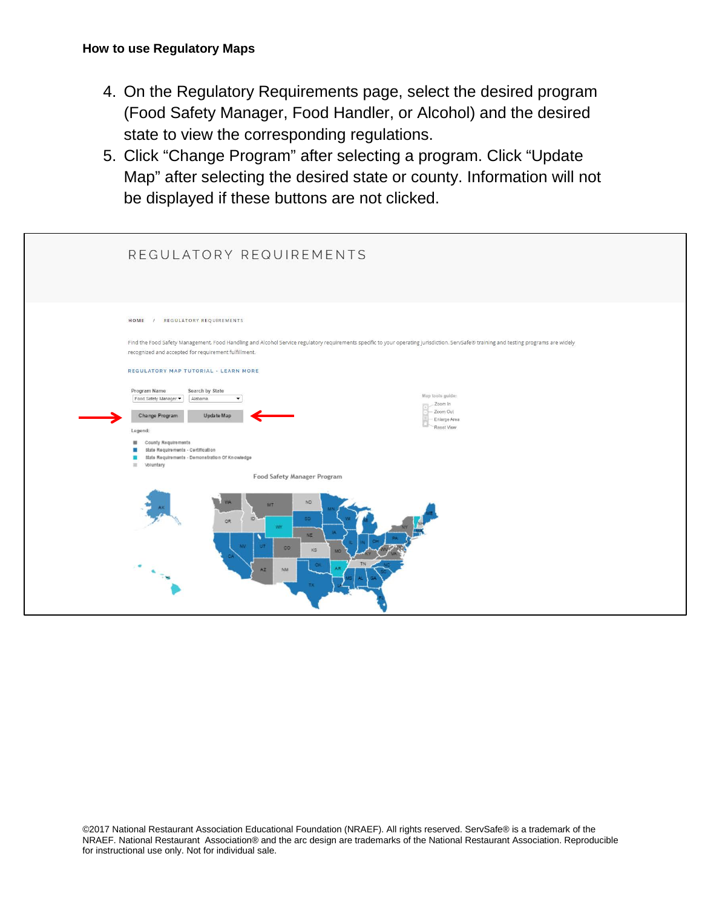- 4. On the Regulatory Requirements page, select the desired program (Food Safety Manager, Food Handler, or Alcohol) and the desired state to view the corresponding regulations.
- 5. Click "Change Program" after selecting a program. Click "Update Map" after selecting the desired state or county. Information will not be displayed if these buttons are not clicked.

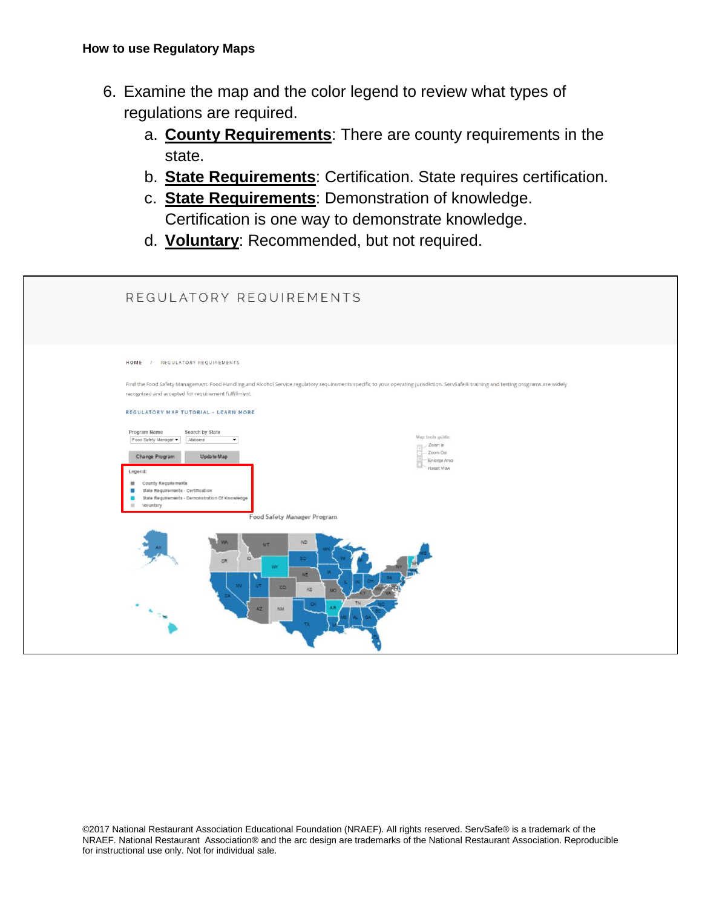- 6. Examine the map and the color legend to review what types of regulations are required.
	- a. **County Requirements**: There are county requirements in the state.
	- b. **State Requirements**: Certification. State requires certification.
	- c. **State Requirements**: Demonstration of knowledge. Certification is one way to demonstrate knowledge.
	- d. **Voluntary**: Recommended, but not required.

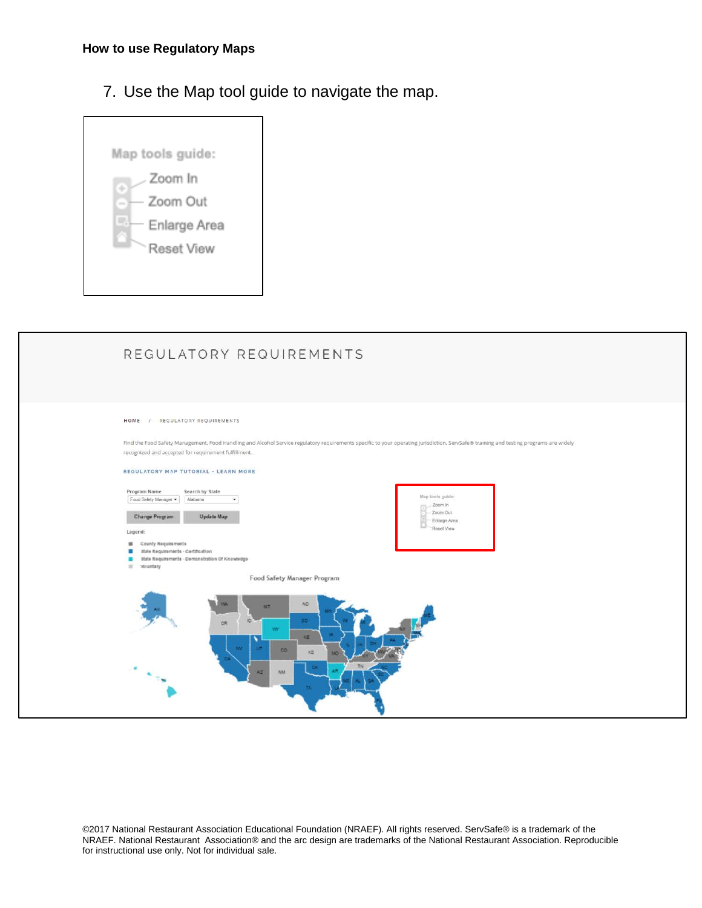7. Use the Map tool guide to navigate the map.



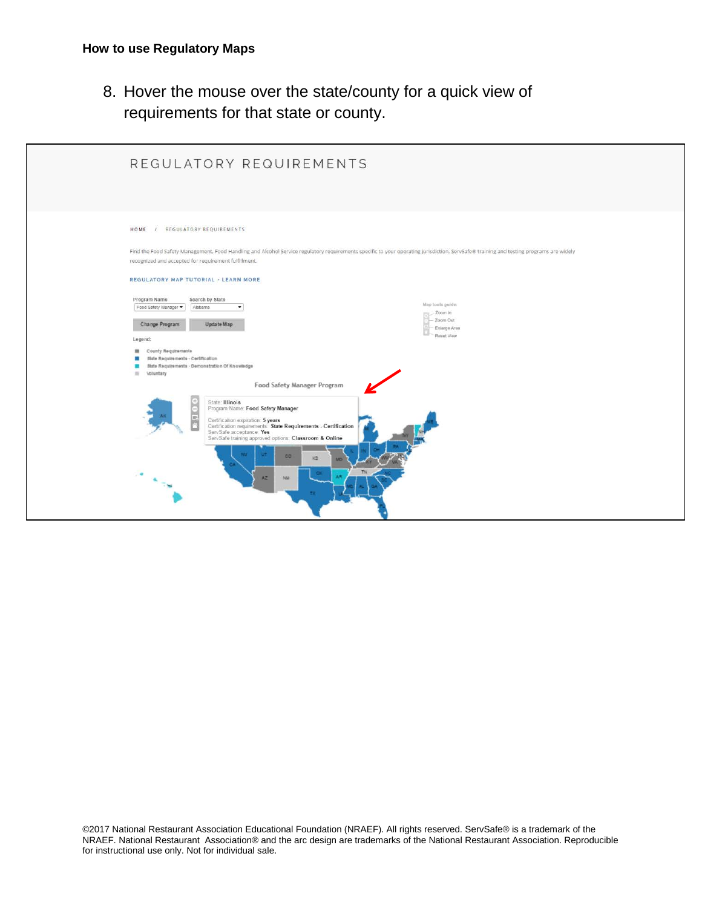8. Hover the mouse over the state/county for a quick view of requirements for that state or county.

| HOME / REGULATORY REQUIREMENTS<br>Find the Food Safety Management, Food Handling and Alcohol Service regulatory requirements specific to your operating jurisdiction. ServSafe® training and testing programs are widely<br>recognized and accepted for requirement fulfillment.<br>REGULATORY MAP TUTORIAL - LEARN MORE<br>Program Name<br>Search by State<br>Map tools guide:<br>Food Safety Manager<br>Alabama<br>$\bullet$<br>Zoom In<br>Zoom Out<br>Change Program<br>Update Map<br>Enlarge Area<br>Reset View<br>Legend:<br><b>III</b> County Requirements<br><b>State Requirements - Certification</b><br>ш<br>State Requirements - Demonstration Of Knowledge<br>III Voluntary<br>Food Safety Manager Program<br>State: Illinois<br>$\frac{6}{5}$<br>Program Name: Food Safety Manager<br>Certification expiration: 5 years<br>Certification requirements: State Requirements - Certification<br>ServSafe acceptance: Yes<br>ServSafe training approved options: Classroom & Online<br><b>CD</b><br>KS | REGULATORY REQUIREMENTS |
|----------------------------------------------------------------------------------------------------------------------------------------------------------------------------------------------------------------------------------------------------------------------------------------------------------------------------------------------------------------------------------------------------------------------------------------------------------------------------------------------------------------------------------------------------------------------------------------------------------------------------------------------------------------------------------------------------------------------------------------------------------------------------------------------------------------------------------------------------------------------------------------------------------------------------------------------------------------------------------------------------------------|-------------------------|
| NM <sup></sup><br>AZ.                                                                                                                                                                                                                                                                                                                                                                                                                                                                                                                                                                                                                                                                                                                                                                                                                                                                                                                                                                                          |                         |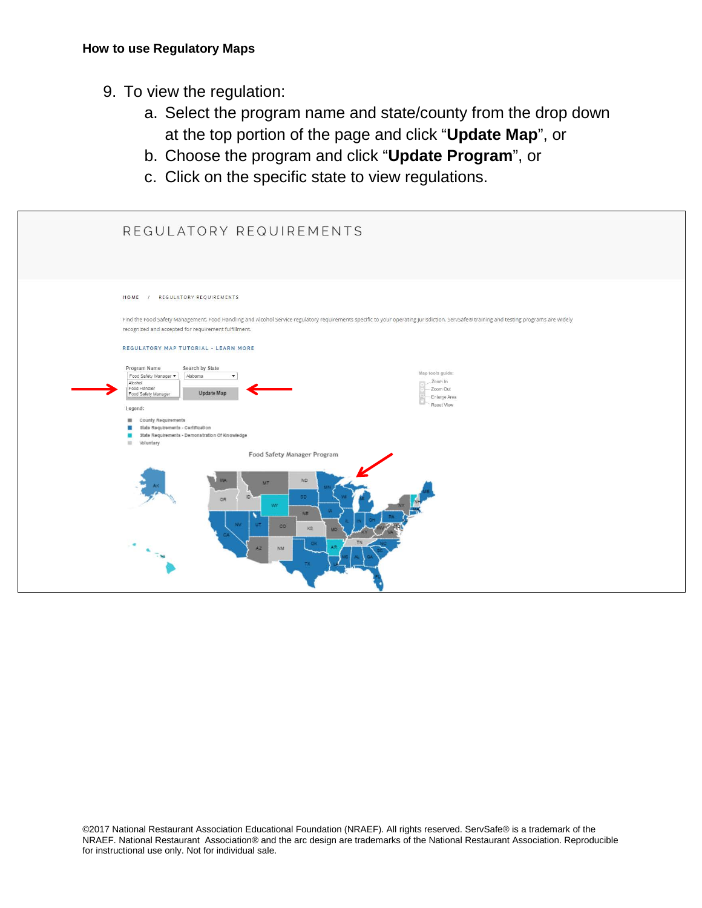- 9. To view the regulation:
	- a. Select the program name and state/county from the drop down at the top portion of the page and click "**Update Map**", or
	- b. Choose the program and click "**Update Program**", or
	- c. Click on the specific state to view regulations.

| REGULATORY REQUIREMENTS                                                                                                                                                                                                                                                                                                     |                                                                            |
|-----------------------------------------------------------------------------------------------------------------------------------------------------------------------------------------------------------------------------------------------------------------------------------------------------------------------------|----------------------------------------------------------------------------|
| REGULATORY REQUIREMENTS<br>HOME /<br>Find the Food Safety Management, Food Handling and Alcohol Service regulatory requirements specific to your operating jurisdiction, ServSafe® training and testing programs are widely<br>recognized and accepted for requirement fulfillment.<br>REGULATORY MAP TUTORIAL - LEARN MORE |                                                                            |
| Program Name<br>Search by State<br>Food Safety Manager<br>Alabama<br>$\overline{\phantom{a}}$<br>Alcohol<br>Food Handler<br>Update Map<br>Food Safety Manager<br>Legend:                                                                                                                                                    | Map tools guide:<br>Zoom In<br>m<br>Zoom Out<br>Enlarge Area<br>Reset View |
| County Requirements<br>器<br>State Requirements - Certification<br>State Requirements - Demonstration Of Knowledge<br>≖<br>Voluntary<br>12<br>Food Safety Manager Program                                                                                                                                                    |                                                                            |
| ND<br><b>MT</b><br>80<br>ю<br>OR.<br>we<br>NE:<br>85<br>$\infty$<br>85<br>NM<br>A2                                                                                                                                                                                                                                          |                                                                            |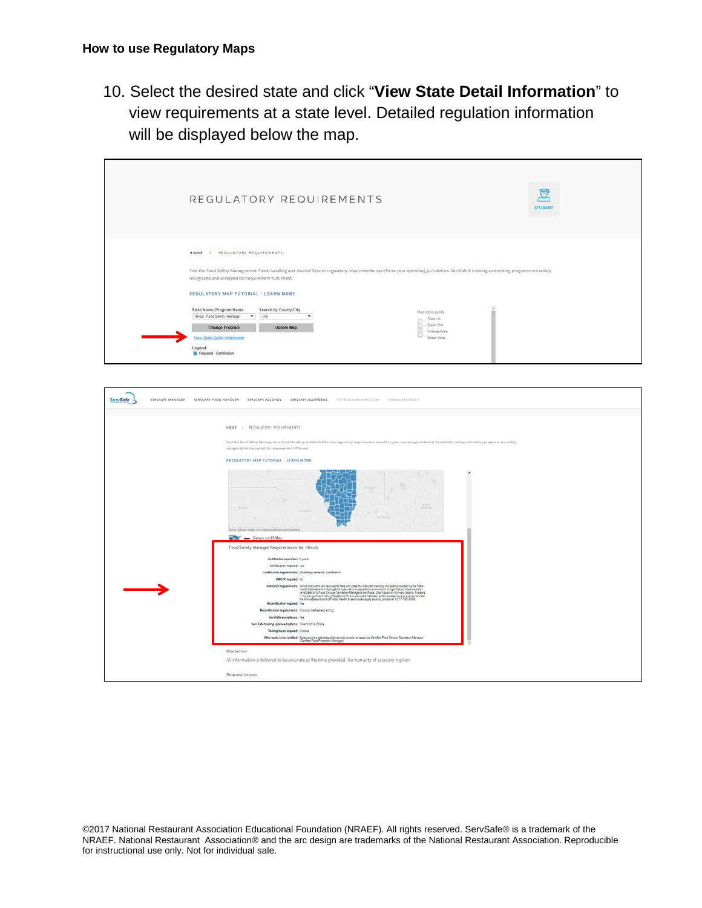10. Select the desired state and click "**View State Detail Information**" to view requirements at a state level. Detailed regulation information will be displayed below the map.

|                                                                                                                                                                                                                                                                                                                    | REGULATORY REQUIREMENTS                                                                                                                                                                                                                           |                                                                       | ē<br><b>STUDENT</b> |
|--------------------------------------------------------------------------------------------------------------------------------------------------------------------------------------------------------------------------------------------------------------------------------------------------------------------|---------------------------------------------------------------------------------------------------------------------------------------------------------------------------------------------------------------------------------------------------|-----------------------------------------------------------------------|---------------------|
| HOME / REGULATORY REQUIREMENTS<br>recognized and accepted for requirement fulfillment.<br>REGULATORY MAP TUTORIAL - LEARN MORE<br>State Name, Program Name<br>Illinois, Food Safety Manager<br>$\bullet$<br><b>Change Program</b><br>View State Detail Information<br>Legend:<br><b>E Required - Certification</b> | Find the Food Safety Management, Food Handling and Alcohol Service regulatory requirements specific to your operating jurisdiction. ServSafe® training and testing programs are widely<br>Search by County/City<br>(14)<br>٠<br><b>Update Map</b> | Mag tools guida:<br>Zoon in<br>Zoom Out<br>Enlarge Area<br>Reset View |                     |

| SERVSAFE MANAGER<br>ServSafe | SERVSAFE FOOD HANDLER<br>SERVSAFE ALCOHOL<br>SERVSAFE ALLERGENS<br>INSTRUCTORIUM/KUCTORE ADMINISTRATORS                                                                                                                                         |
|------------------------------|-------------------------------------------------------------------------------------------------------------------------------------------------------------------------------------------------------------------------------------------------|
|                              | <b>HOME / REGULATORY REQUIREMENTS</b>                                                                                                                                                                                                           |
|                              | Find the Food Safety Management. Food Handling and Alcohol Service regulatory requirements specific to your operating jurisdiction. ServSafe@ training and lesting programs are widely<br>recognized and accepted for requirement fulfillment." |
|                              | REGULATORY MAP TUTORIAL - LEARN MORE                                                                                                                                                                                                            |
|                              | $X$ and $X$<br><b>SAARLING</b><br>About Table in most recent dislocated have a strict markets                                                                                                                                                   |
|                              | Return to US Map                                                                                                                                                                                                                                |
|                              | Food Safety Manager Requirements for Illinois                                                                                                                                                                                                   |
|                              | Certification experience diyears                                                                                                                                                                                                                |
|                              | Certification required: Yes                                                                                                                                                                                                                     |
|                              | Certification requirements: State Requirements - Certification<br><b>NACCP required: No</b>                                                                                                                                                     |
|                              | אוטלי את עד (אוטאנטיבון דוגמא להם במכוניות של הוא מנוע לא אוטב מאוטבאי את המכוניות המוחד - Thatture may be account the Unit of Channel Property Controlled Unit (Section)<br>- Star State Controlled Unit (Section) Unit (Sectio                |
|                              | Recentification required: Yes                                                                                                                                                                                                                   |
|                              | RecentRoation requirements: 6 hours of rebest-entraining<br>Serv Safe acceptance: Yes.                                                                                                                                                          |
|                              | Serv Safe training approved options: Classroom & Online                                                                                                                                                                                         |
|                              | Training hours required: 8 hours                                                                                                                                                                                                                |
|                              | Who needs to be sertified. State requires retail establishments to employ at least one Certified Food Service Santation Manager<br>(Certified Food Protection Manager).                                                                         |
|                              | Disclaimer.                                                                                                                                                                                                                                     |
|                              | All information is believed to be accurate at the time provided. No warranty of accuracy is given.                                                                                                                                              |
|                              | Request Access                                                                                                                                                                                                                                  |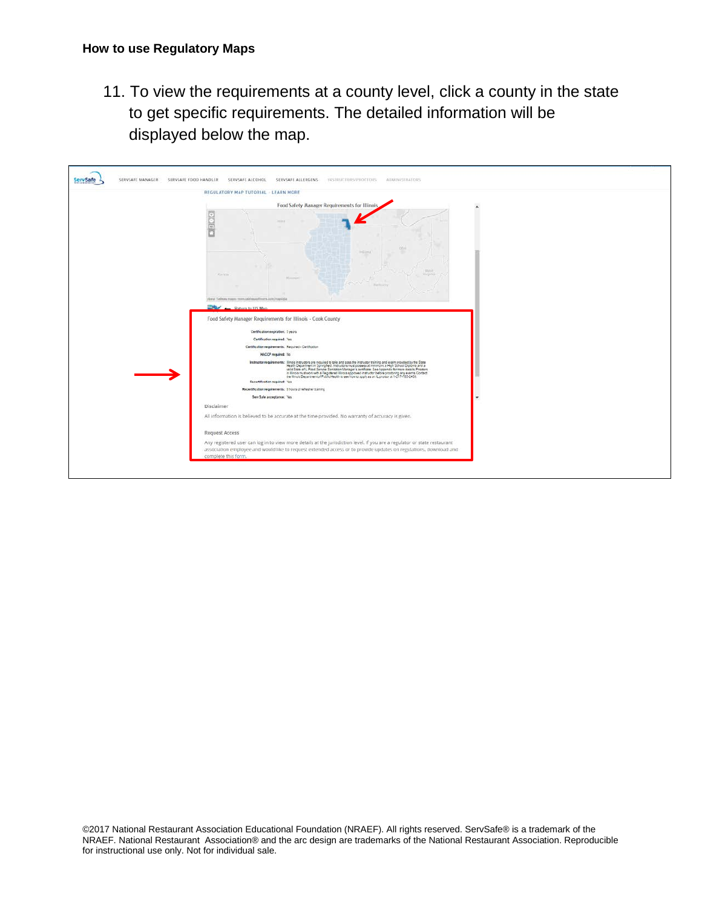11. To view the requirements at a county level, click a county in the state to get specific requirements. The detailed information will be displayed below the map.